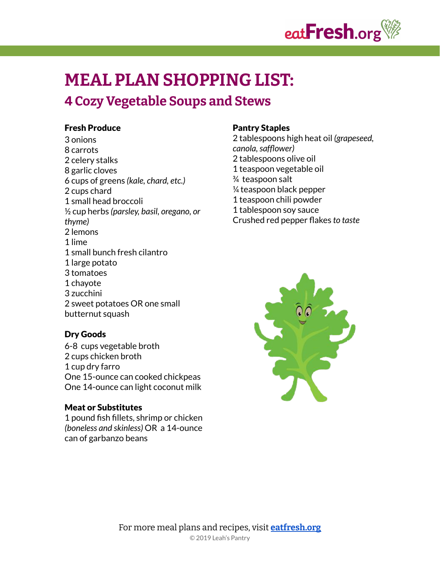

# **MEAL PLAN SHOPPING LIST:**

# **Cozy Vegetable Soups and Stews**

#### Fresh Produce

 onions carrots celery stalks garlic cloves cups of greens *(kale, chard, etc.)* cups chard small head broccoli cup herbs *(parsley, basil, oregano, or thyme)* lemons lime small bunch fresh cilantro large potato tomatoes chayote zucchini sweet potatoes OR one small butternut squash

#### Dry Goods

6-8 cups vegetable broth cups chicken broth cup dry farro One 15-ounce can cooked chickpeas One 14-ounce can light coconut milk

#### Meat or Substitutes

 pound fish fillets, shrimp or chicken *(boneless and skinless)* OR a 14-ounce can of garbanzo beans

#### Pantry Staples

 tablespoons high heat oil *(grapeseed, canola,safflower)* tablespoons olive oil teaspoon vegetable oil teaspoon salt teaspoon black pepper teaspoon chili powder tablespoon soy sauce Crushed red pepper flakes *to taste*

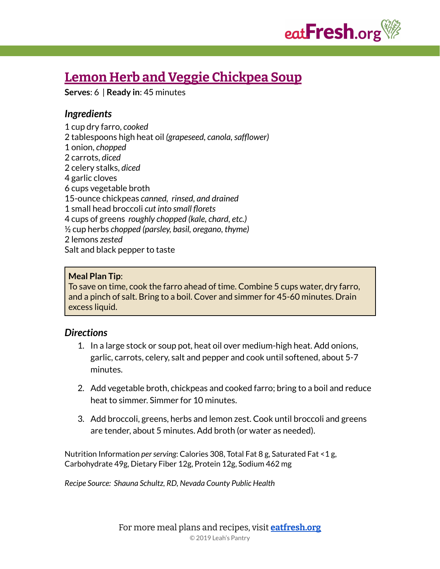

# **Lemon Herb and Veggie [Chickpea](https://eatfresh.org/recipe/soups/lemon-herb-and-veggie-chickpea-soup-new) Soup**

**Serves**: 6 | **Ready in**: 45 minutes

# *Ingredients*

 cup dry farro, *cooked* tablespoons high heat oil *(grapeseed, canola,safflower)* onion, *chopped* carrots, *diced* celery stalks, *diced* garlic cloves cups vegetable broth 15-ounce chickpeas *canned, rinsed, and drained* small head broccoli *cut into small florets* cups of greens *roughly chopped (kale, chard, etc.)* ½ cup herbs *chopped (parsley, basil, oregano, thyme)* lemons *zested* Salt and black pepper to taste

### **Meal Plan Tip**:

To save on time, cook the farro ahead of time. Combine 5 cups water, dry farro, and a pinch of salt. Bring to a boil. Cover and simmer for 45-60 minutes. Drain excess liquid.

# *Directions*

- 1. In a large stock or soup pot, heat oil over medium-high heat. Add onions, garlic, carrots, celery, salt and pepper and cook until softened, about 5-7 minutes.
- 2. Add vegetable broth, chickpeas and cooked farro; bring to a boil and reduce heat to simmer. Simmer for 10 minutes.
- 3. Add broccoli, greens, herbs and lemon zest. Cook until broccoli and greens are tender, about 5 minutes. Add broth (or water as needed).

Nutrition Information *per serving*: Calories 308, Total Fat 8 g, Saturated Fat <1 g, Carbohydrate 49g, Dietary Fiber 12g, Protein 12g, Sodium 462 mg

*Recipe Source: Shauna Schultz, RD, Nevada County Public Health*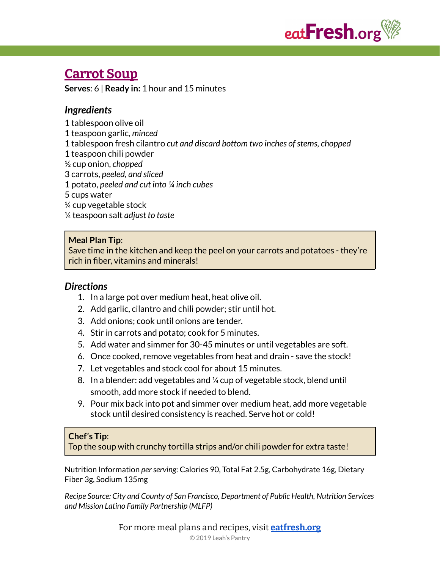

# **[Carrot](https://eatfresh.org/recipe/soups/carrot-soup) Soup**

**Serves**: 6 | **Ready in:** 1 hour and 15 minutes

# *Ingredients*

 tablespoon olive oil teaspoon garlic, *minced* tablespoon fresh cilantro *cut and discard bottom two inches ofstems, chopped* teaspoon chili powder ½ cup onion, *chopped* carrots, *peeled, and sliced* potato, *peeled and cut into ¼ inch cubes* cups water ¼ cup vegetable stock ¼ teaspoon salt *adjust to taste*

### **Meal Plan Tip**:

Save time in the kitchen and keep the peel on your carrots and potatoes - they're rich in fiber, vitamins and minerals!

# *Directions*

- 1. In a large pot over medium heat, heat olive oil.
- 2. Add garlic, cilantro and chili powder; stir until hot.
- 3. Add onions; cook until onions are tender.
- 4. Stir in carrots and potato; cook for 5 minutes.
- 5. Add water and simmer for 30-45 minutes or until vegetables are soft.
- 6. Once cooked, remove vegetables from heat and drain save the stock!
- 7. Let vegetables and stock cool for about 15 minutes.
- 8. In a blender: add vegetables and ¼ cup of vegetable stock, blend until smooth, add more stock if needed to blend.
- 9. Pour mix back into pot and simmer over medium heat, add more vegetable stock until desired consistency is reached. Serve hot or cold!

### **Chef's Tip**:

Top the soup with crunchy tortilla strips and/or chili powder for extra taste!

Nutrition Information *perserving*: Calories 90, Total Fat 2.5g, Carbohydrate 16g, Dietary Fiber 3g, Sodium 135mg

*Recipe Source: City and County of San Francisco, Department of Public Health, Nutrition Services and Mission Latino Family Partnership (MLFP)*

For more meal plans and recipes, visit **[eatfresh.org](https://eatfresh.org)**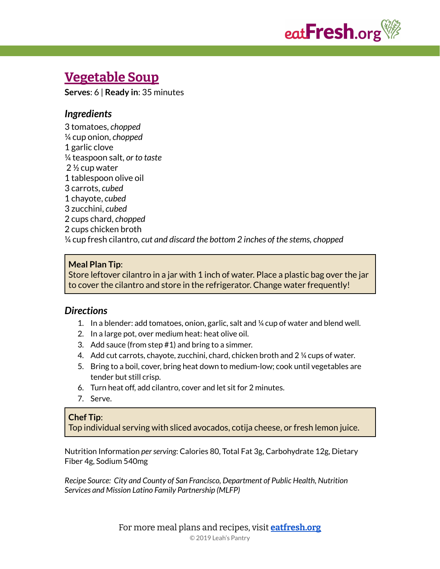

# **[Vegetable](https://eatfresh.org/recipe/soups/vegetable-soup) Soup**

**Serves**: 6 | **Ready in**: 35 minutes

### *Ingredients*

 tomatoes, *chopped* ¼ cup onion, *chopped* garlic clove ¼ teaspoon salt, *or to taste* ½ cup water tablespoon olive oil carrots, *cubed* chayote, *cubed* zucchini, *cubed* cups chard, *chopped* cups chicken broth ¼ cup fresh cilantro, *cut and discard the bottom 2 inches of the stems, chopped*

### **Meal Plan Tip**:

Store leftover cilantro in a jar with 1 inch of water. Place a plastic bag over the jar to cover the cilantro and store in the refrigerator. Change water frequently!

### *Directions*

- 1. In a blender: add tomatoes, onion, garlic, salt and ¼ cup of water and blend well.
- 2. In a large pot, over medium heat: heat olive oil.
- 3. Add sauce (from step #1) and bring to a simmer.
- 4. Add cut carrots, chayote, zucchini, chard, chicken broth and 2 ¼ cups of water.
- 5. Bring to a boil, cover, bring heat down to medium-low; cook until vegetables are tender but still crisp.
- 6. Turn heat off, add cilantro, cover and let sit for 2 minutes.
- 7. Serve.

# **Chef Tip**:

Top individual serving with sliced avocados, cotija cheese, or fresh lemon juice.

Nutrition Information *perserving*: Calories 80, Total Fat 3g, Carbohydrate 12g, Dietary Fiber 4g, Sodium 540mg

*Recipe Source: City and County of San Francisco, Department of Public Health, Nutrition Services and Mission Latino Family Partnership (MLFP)*